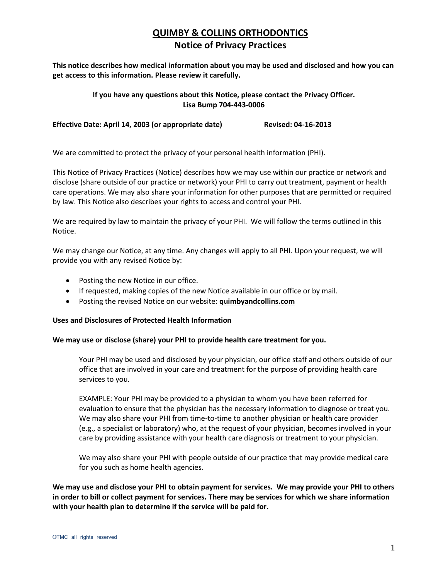# **QUIMBY & COLLINS ORTHODONTICS Notice of Privacy Practices**

**This notice describes how medical information about you may be used and disclosed and how you can get access to this information. Please review it carefully.** 

## **If you have any questions about this Notice, please contact the Privacy Officer. Lisa Bump 704-443-0006**

**Effective Date: April 14, 2003 (or appropriate date) Revised: 04-16-2013**

We are committed to protect the privacy of your personal health information (PHI).

This Notice of Privacy Practices (Notice) describes how we may use within our practice or network and disclose (share outside of our practice or network) your PHI to carry out treatment, payment or health care operations. We may also share your information for other purposes that are permitted or required by law. This Notice also describes your rights to access and control your PHI.

We are required by law to maintain the privacy of your PHI. We will follow the terms outlined in this Notice.

We may change our Notice, at any time. Any changes will apply to all PHI. Upon your request, we will provide you with any revised Notice by:

- Posting the new Notice in our office.
- If requested, making copies of the new Notice available in our office or by mail.
- Posting the revised Notice on our website: **quimbyandcollins.com**

#### **Uses and Disclosures of Protected Health Information**

#### **We may use or disclose (share) your PHI to provide health care treatment for you.**

Your PHI may be used and disclosed by your physician, our office staff and others outside of our office that are involved in your care and treatment for the purpose of providing health care services to you.

EXAMPLE: Your PHI may be provided to a physician to whom you have been referred for evaluation to ensure that the physician has the necessary information to diagnose or treat you. We may also share your PHI from time-to-time to another physician or health care provider (e.g., a specialist or laboratory) who, at the request of your physician, becomes involved in your care by providing assistance with your health care diagnosis or treatment to your physician.

We may also share your PHI with people outside of our practice that may provide medical care for you such as home health agencies.

**We may use and disclose your PHI to obtain payment for services. We may provide your PHI to others in order to bill or collect payment for services. There may be services for which we share information with your health plan to determine if the service will be paid for.**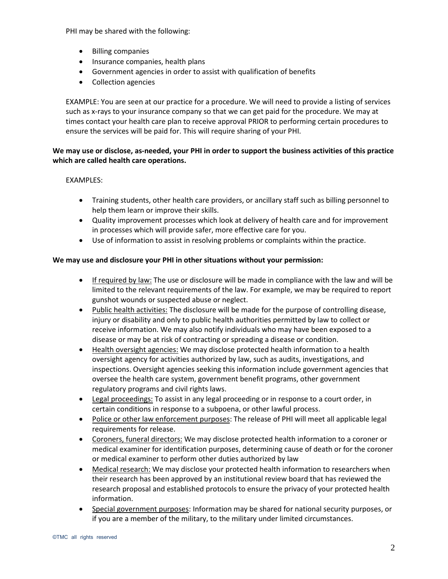PHI may be shared with the following:

- Billing companies
- Insurance companies, health plans
- Government agencies in order to assist with qualification of benefits
- Collection agencies

EXAMPLE: You are seen at our practice for a procedure. We will need to provide a listing of services such as x-rays to your insurance company so that we can get paid for the procedure. We may at times contact your health care plan to receive approval PRIOR to performing certain procedures to ensure the services will be paid for. This will require sharing of your PHI.

## **We may use or disclose, as-needed, your PHI in order to support the business activities of this practice which are called health care operations.**

## EXAMPLES:

- Training students, other health care providers, or ancillary staff such as billing personnel to help them learn or improve their skills.
- Quality improvement processes which look at delivery of health care and for improvement in processes which will provide safer, more effective care for you.
- Use of information to assist in resolving problems or complaints within the practice.

## **We may use and disclosure your PHI in other situations without your permission:**

- If required by law: The use or disclosure will be made in compliance with the law and will be limited to the relevant requirements of the law. For example, we may be required to report gunshot wounds or suspected abuse or neglect.
- Public health activities: The disclosure will be made for the purpose of controlling disease, injury or disability and only to public health authorities permitted by law to collect or receive information. We may also notify individuals who may have been exposed to a disease or may be at risk of contracting or spreading a disease or condition.
- Health oversight agencies: We may disclose protected health information to a health oversight agency for activities authorized by law, such as audits, investigations, and inspections. Oversight agencies seeking this information include government agencies that oversee the health care system, government benefit programs, other government regulatory programs and civil rights laws.
- Legal proceedings: To assist in any legal proceeding or in response to a court order, in certain conditions in response to a subpoena, or other lawful process.
- Police or other law enforcement purposes: The release of PHI will meet all applicable legal requirements for release.
- Coroners, funeral directors: We may disclose protected health information to a coroner or medical examiner for identification purposes, determining cause of death or for the coroner or medical examiner to perform other duties authorized by law
- Medical research: We may disclose your protected health information to researchers when their research has been approved by an institutional review board that has reviewed the research proposal and established protocols to ensure the privacy of your protected health information.
- Special government purposes: Information may be shared for national security purposes, or if you are a member of the military, to the military under limited circumstances.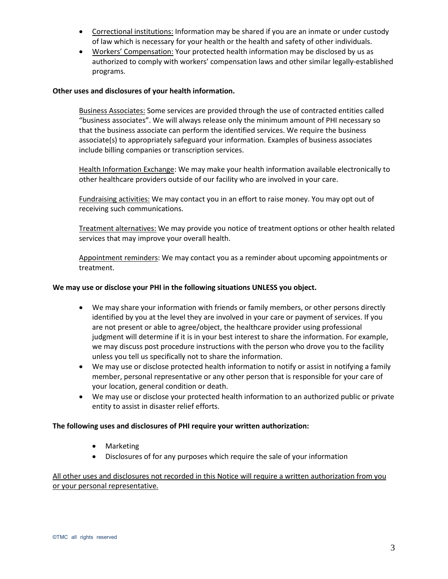- Correctional institutions: Information may be shared if you are an inmate or under custody of law which is necessary for your health or the health and safety of other individuals.
- Workers' Compensation: Your protected health information may be disclosed by us as authorized to comply with workers' compensation laws and other similar legally-established programs.

## **Other uses and disclosures of your health information.**

Business Associates: Some services are provided through the use of contracted entities called "business associates". We will always release only the minimum amount of PHI necessary so that the business associate can perform the identified services. We require the business associate(s) to appropriately safeguard your information. Examples of business associates include billing companies or transcription services.

Health Information Exchange: We may make your health information available electronically to other healthcare providers outside of our facility who are involved in your care.

Fundraising activities: We may contact you in an effort to raise money. You may opt out of receiving such communications.

Treatment alternatives: We may provide you notice of treatment options or other health related services that may improve your overall health.

Appointment reminders: We may contact you as a reminder about upcoming appointments or treatment.

#### **We may use or disclose your PHI in the following situations UNLESS you object.**

- We may share your information with friends or family members, or other persons directly identified by you at the level they are involved in your care or payment of services. If you are not present or able to agree/object, the healthcare provider using professional judgment will determine if it is in your best interest to share the information. For example, we may discuss post procedure instructions with the person who drove you to the facility unless you tell us specifically not to share the information.
- We may use or disclose protected health information to notify or assist in notifying a family member, personal representative or any other person that is responsible for your care of your location, general condition or death.
- We may use or disclose your protected health information to an authorized public or private entity to assist in disaster relief efforts.

#### **The following uses and disclosures of PHI require your written authorization:**

- Marketing
- Disclosures of for any purposes which require the sale of your information

All other uses and disclosures not recorded in this Notice will require a written authorization from you or your personal representative.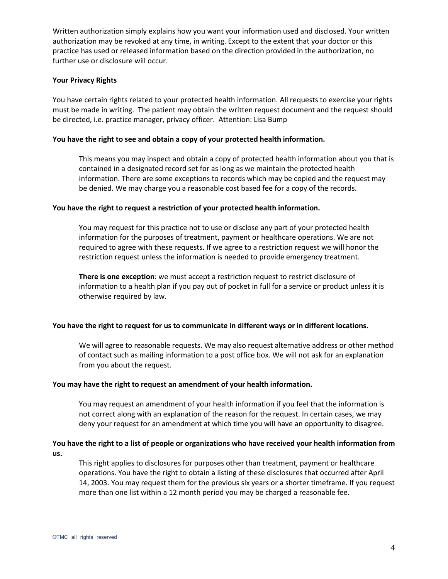Written authorization simply explains how you want your information used and disclosed. Your written authorization may be revoked at any time, in writing. Except to the extent that your doctor or this practice has used or released information based on the direction provided in the authorization, no further use or disclosure will occur.

#### **Your Privacy Rights**

You have certain rights related to your protected health information. All requests to exercise your rights must be made in writing. The patient may obtain the written request document and the request should be directed, i.e. practice manager, privacy officer. Attention: Lisa Bump

## **You have the right to see and obtain a copy of your protected health information.**

This means you may inspect and obtain a copy of protected health information about you that is contained in a designated record set for as long as we maintain the protected health information. There are some exceptions to records which may be copied and the request may be denied. We may charge you a reasonable cost based fee for a copy of the records.

#### **You have the right to request a restriction of your protected health information.**

You may request for this practice not to use or disclose any part of your protected health information for the purposes of treatment, payment or healthcare operations. We are not required to agree with these requests. If we agree to a restriction request we will honor the restriction request unless the information is needed to provide emergency treatment.

**There is one exception**: we must accept a restriction request to restrict disclosure of information to a health plan if you pay out of pocket in full for a service or product unless it is otherwise required by law.

#### **You have the right to request for us to communicate in different ways or in different locations.**

We will agree to reasonable requests. We may also request alternative address or other method of contact such as mailing information to a post office box. We will not ask for an explanation from you about the request.

#### **You may have the right to request an amendment of your health information.**

You may request an amendment of your health information if you feel that the information is not correct along with an explanation of the reason for the request. In certain cases, we may deny your request for an amendment at which time you will have an opportunity to disagree.

## **You have the right to a list of people or organizations who have received your health information from us.**

This right applies to disclosures for purposes other than treatment, payment or healthcare operations. You have the right to obtain a listing of these disclosures that occurred after April 14, 2003. You may request them for the previous six years or a shorter timeframe. If you request more than one list within a 12 month period you may be charged a reasonable fee.